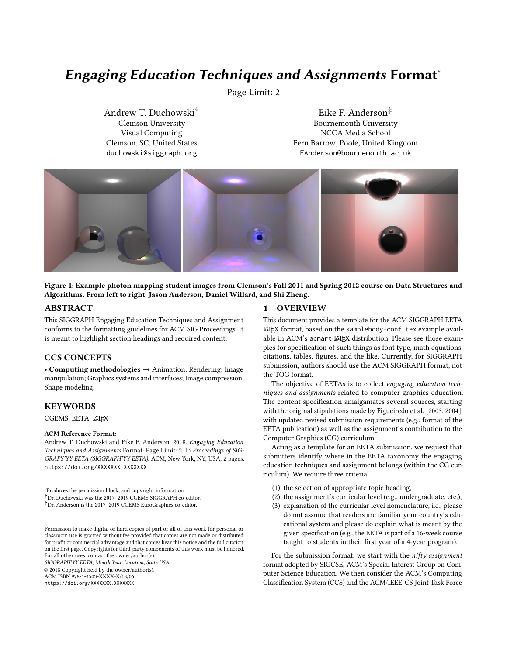# Engaging Education Techniques and Assignments Format<sup>∗</sup>

Page Limit: 2

Andrew T. Duchowski† Clemson University Visual Computing Clemson, SC, United States duchowski@siggraph.org

Eike F. Anderson‡ Bournemouth University NCCA Media School Fern Barrow, Poole, United Kingdom EAnderson@bournemouth.ac.uk



Figure 1: Example photon mapping student images from Clemson's Fall 2011 and Spring 2012 course on Data Structures and Algorithms. From left to right: Jason Anderson, Daniel Willard, and Shi Zheng.

#### ABSTRACT

This SIGGRAPH Engaging Education Techniques and Assignment conforms to the formatting guidelines for ACM SIG Proceedings. It is meant to highlight section headings and required content.

#### CCS CONCEPTS

• Computing methodologies → Animation; Rendering; Image manipulation; Graphics systems and interfaces; Image compression; Shape modeling.

#### **KEYWORDS**

CGEMS, EETA, LATEX

#### ACM Reference Format:

Andrew T. Duchowski and Eike F. Anderson. 2018. Engaging Education Techniques and Assignments Format: Page Limit: 2. In Proceedings of SIG-GRAPY'YY EETA (SIGGRAPH'YY EETA). ACM, New York, NY, USA, 2 pages. https://doi.org/XXXXXXX.XXXXXXX

<sup>∗</sup>Produces the permission block, and copyright information †Dr. Duchowski was the 2017–2019 CGEMS SIGGRAPH co-editor.

‡Dr. Anderson is the 2017–2019 CGEMS EuroGraphics co-editor.

SIGGRAPH'YY EETA, Month Year, Location, State USA

© 2018 Copyright held by the owner/author(s).

ACM ISBN 978-1-4503-XXXX-X/18/06.

https://doi.org/XXXXXXX.XXXXXXX

#### 1 OVERVIEW

This document provides a template for the ACM SIGGRAPH EETA LATEX format, based on the samplebody-conf.tex example available in ACM's acmart LATEX distribution. Please see those examples for specification of such things as font type, math equations, citations, tables, figures, and the like. Currently, for SIGGRAPH submission, authors should use the ACM SIGGRAPH format, not the TOG format.

The objective of EETAs is to collect engaging education techniques and assignments related to computer graphics education. The content specification amalgamates several sources, starting with the original stipulations made by Figueiredo et al. [2003, 2004], with updated revised submission requirements (e.g., format of the EETA publication) as well as the assignment's contribution to the Computer Graphics (CG) curriculum.

Acting as a template for an EETA submission, we request that submitters identify where in the EETA taxonomy the engaging education techniques and assignment belongs (within the CG curriculum). We require three criteria:

- (1) the selection of appropriate topic heading,
- (2) the assignment's curricular level (e.g., undergraduate, etc.),
- (3) explanation of the curricular level nomenclature, i.e., please do not assume that readers are familiar your country's educational system and please do explain what is meant by the given specification (e.g., the EETA is part of a 16-week course taught to students in their first year of a 4-year program).

For the submission format, we start with the  $nifty$  assignment format adopted by SIGCSE, ACM's Special Interest Group on Computer Science Education. We then consider the ACM's Computing Classification System (CCS) and the ACM/IEEE-CS Joint Task Force

Permission to make digital or hard copies of part or all of this work for personal or classroom use is granted without fee provided that copies are not made or distributed for profit or commercial advantage and that copies bear this notice and the full citation on the first page. Copyrights for third-party components of this work must be honored. For all other uses, contact the owner/author(s).